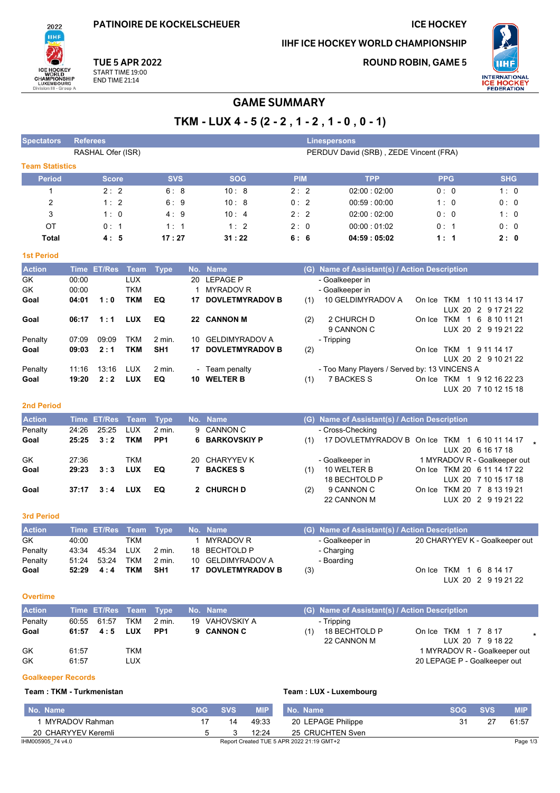PATINOIRE DE KOCKELSCHEUER

### IIHF ICE HOCKEY WORLD CHAMPIONSHIP

**ROUND ROBIN, GAME 5** 

**ICE HOCKEY** 



**TUE 5 APR 2022** 

െ ICE HOCKEY<br>CHAMPIONSHIP<br>CHAMPIONSHIP<br>LUXEMBOURG<br>Division III - Group A

2022 **IIHF** 

# START TIME 19:00<br>END TIME 21:14

# **GAME SUMMARY**

| <b>Spectators</b>         | Referees       |                    |             |                 |            |                                             |            |     | <b>Linespersons</b>                           |                                                   |            |            |
|---------------------------|----------------|--------------------|-------------|-----------------|------------|---------------------------------------------|------------|-----|-----------------------------------------------|---------------------------------------------------|------------|------------|
|                           |                | RASHAL Ofer (ISR)  |             |                 |            |                                             |            |     | PERDUV David (SRB), ZEDE Vincent (FRA)        |                                                   |            |            |
| <b>Team Statistics</b>    |                |                    |             |                 |            |                                             |            |     |                                               |                                                   |            |            |
| <b>Period</b>             |                | <b>Score</b>       |             | <b>SVS</b>      |            | <b>SOG</b>                                  | <b>PIM</b> |     | <b>TPP</b>                                    | <b>PPG</b>                                        |            | <b>SHG</b> |
| $\mathbf 1$               |                | 2:2                |             | 6:8             |            | 10:8                                        | 2:2        |     | 02:00:02:00                                   | 0:0                                               |            | 1:0        |
|                           |                |                    |             |                 |            |                                             |            |     |                                               |                                                   |            |            |
| 2                         |                | 1:2                |             | 6:9             |            | 10:8                                        | 0:2        |     | 00:59:00:00                                   | 1:0                                               |            | 0:0        |
| 3                         |                | 1:0                |             | 4:9             |            | 10:4                                        | 2:2        |     | 02:00:02:00                                   | 0:0                                               |            | 1:0        |
| OT                        |                | 0:1                |             | 1:1             |            | 1:2                                         | 2:0        |     | 00:00:01:02                                   | 0:1                                               |            | 0:0        |
| <b>Total</b>              |                | 4:5                |             | 17:27           |            | 31:22                                       | 6: 6       |     | 04:59:05:02                                   | 1:1                                               |            | 2:0        |
| <b>1st Period</b>         |                |                    |             |                 |            |                                             |            |     |                                               |                                                   |            |            |
| <b>Action</b>             |                | Time ET/Res        | <b>Team</b> | <b>Type</b>     |            | No. Name                                    |            |     | (G) Name of Assistant(s) / Action Description |                                                   |            |            |
| GK                        | 00:00          |                    | <b>LUX</b>  |                 | 20         | <b>LEPAGE P</b>                             |            |     | - Goalkeeper in                               |                                                   |            |            |
| GK                        | 00:00          |                    | <b>TKM</b>  |                 | 1          | <b>MYRADOV R</b>                            |            |     | - Goalkeeper in                               |                                                   |            |            |
| Goal                      | 04:01          | 1:0                | <b>TKM</b>  | EQ              | 17         | <b>DOVLETMYRADOV B</b>                      |            | (1) | 10 GELDIMYRADOV A                             | On Ice TKM 1 10 11 13 14 17                       |            |            |
|                           |                |                    |             |                 |            |                                             |            |     |                                               | LUX 20 2 9 17 21 22                               |            |            |
| Goal                      | 06:17          | 1:1                | <b>LUX</b>  | EQ              |            | 22 CANNON M                                 |            | (2) | 2 CHURCH D                                    | On Ice TKM 1 6 8 10 11 21                         |            |            |
|                           |                |                    |             |                 |            |                                             |            |     | 9 CANNON C                                    | LUX 20 2 9 19 21 22                               |            |            |
| Penalty                   | 07:09          | 09:09              | TKM         | 2 min.          | 10         | <b>GELDIMYRADOV A</b><br>17 DOVLETMYRADOV B |            |     | - Tripping                                    |                                                   |            |            |
| Goal                      | 09:03          | 2:1                | <b>TKM</b>  | SH1             |            |                                             |            | (2) |                                               | On Ice TKM 1 9 11 14 17<br>LUX 20 2 9 10 21 22    |            |            |
| Penalty                   | 11:16          | 13:16              | <b>LUX</b>  | 2 min.          |            | - Team penalty                              |            |     | - Too Many Players / Served by: 13 VINCENS A  |                                                   |            |            |
| Goal                      | 19:20          | 2:2                | <b>LUX</b>  | EQ              |            | 10 WELTER B                                 |            | (1) | <b>7 BACKES S</b>                             | On Ice TKM 1 9 12 16 22 23                        |            |            |
|                           |                |                    |             |                 |            |                                             |            |     |                                               | LUX 20 7 10 12 15 18                              |            |            |
|                           |                |                    |             |                 |            |                                             |            |     |                                               |                                                   |            |            |
| <b>2nd Period</b>         |                |                    |             |                 |            |                                             |            |     |                                               |                                                   |            |            |
| <b>Action</b>             | <b>Time</b>    | <b>ET/Res</b>      | <b>Team</b> | <b>Type</b>     |            | No. Name                                    |            |     | (G) Name of Assistant(s) / Action Description |                                                   |            |            |
| Penalty                   | 24:26          | 25:25              | <b>LUX</b>  | 2 min.          | 9          | <b>CANNON C</b>                             |            |     | - Cross-Checking                              |                                                   |            |            |
| Goal                      | 25:25          | 3:2                | <b>TKM</b>  | PP <sub>1</sub> | 6          | <b>BARKOVSKIY P</b>                         |            | (1) | 17 DOVLETMYRADOV B On Ice TKM 1 6 10 11 14 17 |                                                   |            |            |
| GK                        | 27:36          |                    | <b>TKM</b>  |                 | 20         | <b>CHARYYEV K</b>                           |            |     |                                               | LUX 20 6 16 17 18<br>1 MYRADOV R - Goalkeeper out |            |            |
| Goal                      | 29:23          | 3:3                | <b>LUX</b>  | EQ              | 7          | <b>BACKESS</b>                              |            | (1) | - Goalkeeper in<br>10 WELTER B                | On Ice TKM 20 6 11 14 17 22                       |            |            |
|                           |                |                    |             |                 |            |                                             |            |     | 18 BECHTOLD P                                 | LUX 20 7 10 15 17 18                              |            |            |
| Goal                      | 37:17          | 3:4                | <b>LUX</b>  | EQ              |            | 2 CHURCH D                                  |            | (2) | 9 CANNON C                                    | On Ice TKM 20 7 8 13 19 21                        |            |            |
|                           |                |                    |             |                 |            |                                             |            |     | 22 CANNON M                                   | LUX 20 2 9 19 21 22                               |            |            |
| <b>3rd Period</b>         |                |                    |             |                 |            |                                             |            |     |                                               |                                                   |            |            |
|                           |                |                    |             |                 |            |                                             |            |     |                                               |                                                   |            |            |
| <b>Action</b>             |                | Time ET/Res Team   |             | <b>Type</b>     |            | No. Name                                    |            |     | (G) Name of Assistant(s) / Action Description |                                                   |            |            |
| GK                        | 40:00          |                    | <b>TKM</b>  |                 | 1          | <b>MYRADOV R</b>                            |            |     | - Goalkeeper in                               | 20 CHARYYEV K - Goalkeeper out                    |            |            |
| Penalty                   | 43:34          | 45:34<br>53:24 TKM | <b>LUX</b>  | 2 min.          | 18         | <b>BECHTOLD P</b><br>10 GELDIMYRADOV A      |            |     | - Charging                                    |                                                   |            |            |
| Penalty<br>Goal           | 51:24<br>52:29 | 4:4                | <b>TKM</b>  | 2 min.<br>SH1   |            | 17 DOVLETMYRADOV B                          |            | (3) | - Boarding                                    | On Ice TKM 1 6 8 14 17                            |            |            |
|                           |                |                    |             |                 |            |                                             |            |     |                                               | LUX 20 2 9 19 21 22                               |            |            |
|                           |                |                    |             |                 |            |                                             |            |     |                                               |                                                   |            |            |
| <b>Overtime</b>           |                |                    |             |                 |            |                                             |            |     |                                               |                                                   |            |            |
| <b>Action</b>             |                | Time ET/Res        | <b>Team</b> | <b>Type</b>     |            | No. Name                                    |            |     | (G) Name of Assistant(s) / Action Description |                                                   |            |            |
| Penalty                   | 60:55          | 61:57              | TKM         | 2 min.          |            | 19 VAHOVSKIY A                              |            |     | - Tripping                                    |                                                   |            |            |
| Goal                      | 61:57          | 4:5                | <b>LUX</b>  | PP <sub>1</sub> | 9          | <b>CANNON C</b>                             |            | (1) | 18 BECHTOLD P                                 | On Ice TKM 1 7 8 17                               |            |            |
|                           |                |                    |             |                 |            |                                             |            |     | 22 CANNON M                                   | LUX 20 7 9 18 22                                  |            |            |
| GK                        | 61:57          |                    | TKM         |                 |            |                                             |            |     |                                               | 1 MYRADOV R - Goalkeeper out                      |            |            |
| GK                        | 61:57          |                    | <b>LUX</b>  |                 |            |                                             |            |     |                                               | 20 LEPAGE P - Goalkeeper out                      |            |            |
| <b>Goalkeeper Records</b> |                |                    |             |                 |            |                                             |            |     |                                               |                                                   |            |            |
| Team: TKM - Turkmenistan  |                |                    |             |                 |            |                                             |            |     | Team: LUX - Luxembourg                        |                                                   |            |            |
|                           |                |                    |             |                 |            |                                             |            |     |                                               |                                                   |            |            |
| No. Name                  |                |                    |             |                 | <b>SOG</b> | <b>SVS</b><br><b>MIP</b>                    | No. Name   |     |                                               | <b>SOG</b>                                        | <b>SVS</b> | <b>MIP</b> |
| 1 MYRADOV Rahman          |                |                    |             |                 |            | 17<br>49.33<br>14                           |            |     | 20 LEPAGE Philippe                            | 31                                                | 27         | 61:57      |
| 20 CHARYYEV Keremli       |                |                    |             |                 |            | 12:24<br>5<br>3                             |            |     | 25 CRUCHTEN Sven                              |                                                   |            |            |
| IHM005905_74 v4.0         |                |                    |             |                 |            | Report Created TUE 5 APR 2022 21:19 GMT+2   |            |     |                                               |                                                   |            | Page 1/3   |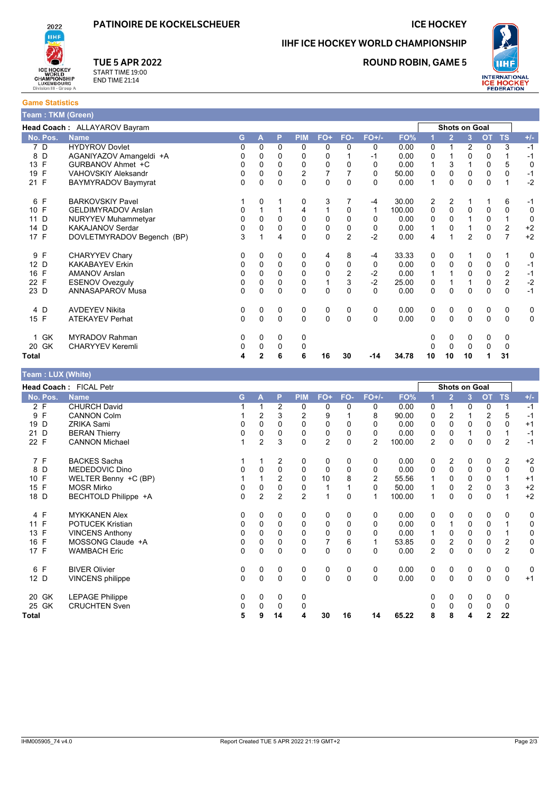#### **ICE HOCKEY**

**ROUND ROBIN, GAME 5** 

IIHF ICE HOCKEY WORLD CHAMPIONSHIP

ICE HOCKEY<br>CHAMPIONSHIP<br>CHAMPIONSHIP<br>LUXEMBOURG<br>Division III - Group A

2022 **IIHF** 

**Game Statistics** 

## **TUE 5 APR 2022**

START TIME 19:00<br>END TIME 21:14

| Team : TKM (Green) |                              |          |             |              |                |              |                |          |        |                |                |                |           |                         |             |
|--------------------|------------------------------|----------|-------------|--------------|----------------|--------------|----------------|----------|--------|----------------|----------------|----------------|-----------|-------------------------|-------------|
|                    | Head Coach: ALLAYAROV Bayram |          |             |              |                |              |                |          |        |                |                | Shots on Goal  |           |                         |             |
| No. Pos.           | <b>Name</b>                  | G        | A           | P            | <b>PIM</b>     | FO+          | FO-            | $FO+/-$  | FO%    |                | $\overline{2}$ | 3              | <b>OT</b> | <b>TS</b>               | $+/-$       |
| 7 D                | <b>HYDYROV Dovlet</b>        | 0        | $\Omega$    | $\Omega$     | 0              | 0            | 0              | 0        | 0.00   | $\Omega$       | 1              | $\overline{2}$ | 0         | 3                       | $-1$        |
| D<br>8             | AGANIYAZOV Amangeldi +A      | 0        | 0           | 0            | 0              | $\Omega$     |                | -1       | 0.00   | 0              |                | 0              | 0         |                         | $-1$        |
| F<br>13            | GURBANOV Ahmet +C            | 0        | 0           | 0            | 0              | $\mathbf 0$  | 0              | 0        | 0.00   | 1              | 3              |                | 0         | 5                       | $\mathbf 0$ |
| F<br>19            | <b>VAHOVSKIY Aleksandr</b>   | 0        | $\Omega$    | 0            | $\overline{2}$ |              |                | 0        | 50.00  | 0              | $\mathbf{0}$   | 0              | 0         | 0                       | $-1$        |
| 21 F               | BAYMYRADOV Baymyrat          | 0        | $\Omega$    | 0            | $\Omega$       | $\Omega$     | 0              | $\Omega$ | 0.00   | 1              | 0              | $\Omega$       | 0         |                         | $-2$        |
| F<br>6             | <b>BARKOVSKIY Pavel</b>      |          | 0           |              | 0              | 3            | 7              | -4       | 30.00  | $\overline{2}$ | $\overline{2}$ |                |           | 6                       | -1          |
| 10 F               | <b>GELDIMYRADOV Arslan</b>   | 0        |             |              | 4              |              | 0              | 1        | 100.00 | 0              | $\mathbf{0}$   | $\Omega$       | 0         | 0                       | 0           |
| D<br>11            | <b>NURYYEV Muhammetyar</b>   | 0        | 0           | 0            | 0              | 0            | 0              | 0        | 0.00   | 0              | 0              |                | 0         | 1                       | $\mathbf 0$ |
| D<br>14            | KAKAJANOV Serdar             | 0        | $\Omega$    | 0            | 0              | 0            | 0              | 0        | 0.00   | 1              | $\Omega$       |                | 0         | 2                       | $+2$        |
| 17 F               | DOVLETMYRADOV Begench (BP)   | 3        |             | 4            | $\Omega$       | $\Omega$     | $\overline{2}$ | $-2$     | 0.00   | 4              | 1              | $\overline{2}$ | $\Omega$  | $\overline{7}$          | $+2$        |
| 9 F                | <b>CHARYYEV Chary</b>        | 0        | 0           | 0            | 0              | 4            | 8              | -4       | 33.33  | 0              | 0              |                | 0         | 1                       | 0           |
| 12 D               | <b>KAKABAYEV Erkin</b>       | 0        | 0           | $\mathbf 0$  | $\mathbf 0$    | 0            | 0              | 0        | 0.00   | 0              | $\mathbf 0$    | $\mathbf 0$    | 0         | 0                       | $-1$        |
| F<br>16            | <b>AMANOV Arslan</b>         | 0        | 0           | 0            | 0              | 0            | $\overline{2}$ | $-2$     | 0.00   |                |                | 0              | 0         | $\overline{\mathbf{c}}$ | $-1$        |
| F<br>22            | <b>ESENOV Ovezguly</b>       | 0        | 0           | 0            | 0              | $\mathbf{1}$ | 3              | $-2$     | 25.00  | 0              |                |                | 0         | $\overline{c}$          | $-2$        |
| 23 D               | ANNASAPAROV Musa             | 0        | 0           | $\Omega$     | 0              | $\Omega$     | $\Omega$       | $\Omega$ | 0.00   | $\mathbf 0$    | $\Omega$       | $\Omega$       | 0         | $\mathbf 0$             | $-1$        |
| 4 D                | <b>AVDEYEV Nikita</b>        | 0        | 0           | 0            | 0              | 0            | 0              | 0        | 0.00   | 0              | 0              | 0              | 0         | 0                       | 0           |
| 15 F               | <b>ATEKAYEV Perhat</b>       | $\Omega$ | $\mathbf 0$ | $\mathbf 0$  | $\mathbf 0$    | $\mathbf 0$  | $\Omega$       | $\Omega$ | 0.00   | $\mathbf 0$    | 0              | $\mathbf 0$    | 0         | 0                       | $\mathbf 0$ |
| 1 GK               | <b>MYRADOV Rahman</b>        | 0        | 0           | 0            | 0              |              |                |          |        | 0              | 0              | 0              | 0         | 0                       |             |
| 20 GK              | <b>CHARYYEV Keremli</b>      | 0        | $\Omega$    | $\mathbf{0}$ | 0              |              |                |          |        | 0              | $\mathbf 0$    | $\Omega$       | 0         | 0                       |             |
| Total              |                              | 4        | 2           | 6            | 6              | 16           | 30             | $-14$    | 34.78  | 10             | 10             | 10             |           | 31                      |             |

|  |  | Team: LUX (White) |
|--|--|-------------------|
|  |  |                   |

|                   | Head Coach: FICAL Petr  |          |                |                |                |                |          |                |        |                | Shots on Goal    |                |                |                         |              |
|-------------------|-------------------------|----------|----------------|----------------|----------------|----------------|----------|----------------|--------|----------------|------------------|----------------|----------------|-------------------------|--------------|
| No. Pos.          | <b>Name</b>             | G.       | А              | P              | <b>PIM</b>     | $FO+$          | FO-      | $FO+/-$        | FO%    |                | $\overline{2}$   | 3              | <b>OT</b>      | <b>TS</b>               | $+/-$        |
| 2 F               | <b>CHURCH David</b>     |          |                | $\overline{2}$ | 0              | 0              | 0        | 0              | 0.00   | 0              |                  | 0              | 0              | 1                       | $-1$         |
| $\mathsf{F}$<br>9 | <b>CANNON Colm</b>      |          | $\overline{2}$ | 3              | 2              | 9              |          | 8              | 90.00  | 0              | 2                |                | $\overline{c}$ | 5                       | $-1$         |
| 19 D              | <b>ZRIKA Sami</b>       | 0        | $\Omega$       | $\Omega$       | $\Omega$       | $\mathbf 0$    | $\Omega$ | 0              | 0.00   | 0              | $\Omega$         | $\Omega$       | $\mathbf{0}$   | $\Omega$                | $+1$         |
| 21 D              | <b>BERAN Thierry</b>    | 0        | 0              | 0              | 0              | 0              | 0        | 0              | 0.00   | 0              | 0                |                | 0              | 1                       | $-1$         |
| 22 F              | <b>CANNON Michael</b>   |          | $\overline{c}$ | 3              | 0              | $\overline{c}$ | $\Omega$ | $\overline{2}$ | 100.00 | $\overline{2}$ | $\Omega$         | $\mathbf 0$    | $\mathbf 0$    | $\overline{2}$          | $-1$         |
| 7 F               | <b>BACKES Sacha</b>     |          |                | $\overline{2}$ | 0              | 0              | 0        | 0              | 0.00   | 0              | 2                | 0              | 0              | $\overline{2}$          | $+2$         |
| 8 D               | MEDEDOVIC Dino          | 0        | $\Omega$       | 0              | 0              | 0              | $\Omega$ | $\Omega$       | 0.00   | 0              | 0                | 0              | 0              | 0                       | $\mathbf 0$  |
| 10 F              | WELTER Benny +C (BP)    |          |                | 2              | 0              | 10             | 8        | 2              | 55.56  | 1              | 0                | 0              | 0              |                         | $+1$         |
| 15 F              | <b>MOSR Mirko</b>       | 0        | 0              | 0              | 0              |                |          | $\Omega$       | 50.00  | 1              | 0                | $\overline{2}$ | $\mathbf 0$    | 3                       | $+2$         |
| 18 D              | BECHTOLD Philippe +A    | 0        | $\overline{2}$ | $\overline{2}$ | $\overline{2}$ | 1              | $\Omega$ | 1              | 100.00 | $\overline{1}$ | $\Omega$         | 0              | $\mathbf 0$    |                         | $+2$         |
| 4 F               | <b>MYKKANEN Alex</b>    | 0        | 0              | 0              | 0              | 0              | 0        | 0              | 0.00   | 0              | 0                | 0              | 0              | 0                       | 0            |
| 11 F              | <b>POTUCEK Kristian</b> | 0        | $\Omega$       | 0              | 0              | $\mathbf 0$    | $\Omega$ | $\Omega$       | 0.00   | 0              | 1                | $\Omega$       | $\mathbf 0$    |                         | 0            |
| 13 F              | <b>VINCENS Anthony</b>  | 0        | $\Omega$       | 0              | $\Omega$       | $\mathbf 0$    | 0        | $\Omega$       | 0.00   |                | 0                | 0              | 0              |                         | 0            |
| 16 F              | MOSSONG Claude +A       | 0        | 0              | 0              | $\mathbf 0$    | 7              | 6        |                | 53.85  | 0              | $\boldsymbol{2}$ | 0              | 0              | $\overline{\mathbf{c}}$ | $\pmb{0}$    |
| 17 F              | <b>WAMBACH Eric</b>     | $\Omega$ | $\Omega$       | $\Omega$       | $\mathbf{0}$   | 0              | $\Omega$ | $\Omega$       | 0.00   | $\overline{2}$ | $\Omega$         | $\Omega$       | $\mathbf{0}$   | $\overline{2}$          | $\mathbf{0}$ |
| 6 F               | <b>BIVER Olivier</b>    | 0        | 0              | 0              | 0              | 0              | 0        | 0              | 0.00   | 0              | 0                | 0              | 0              | 0                       | 0            |
| 12 D              | <b>VINCENS</b> philippe | 0        | $\Omega$       | $\Omega$       | $\Omega$       | $\mathbf 0$    | $\Omega$ | $\Omega$       | 0.00   | 0              | $\Omega$         | $\Omega$       | 0              | $\mathbf 0$             | $+1$         |
| 20 GK             | <b>LEPAGE Philippe</b>  | 0        | 0              | 0              | 0              |                |          |                |        | 0              | 0                | 0              | 0              | 0                       |              |
| 25 GK             | <b>CRUCHTEN Sven</b>    | 0        | 0              | 0              | 0              |                |          |                |        |                | 0                | 0              | 0              | 0                       |              |
| Total             |                         | 5        | 9              | 14             | 4              | 30             | 16       | 14             | 65.22  | 8              | 8                | 4              | $\mathbf{2}$   | 22                      |              |